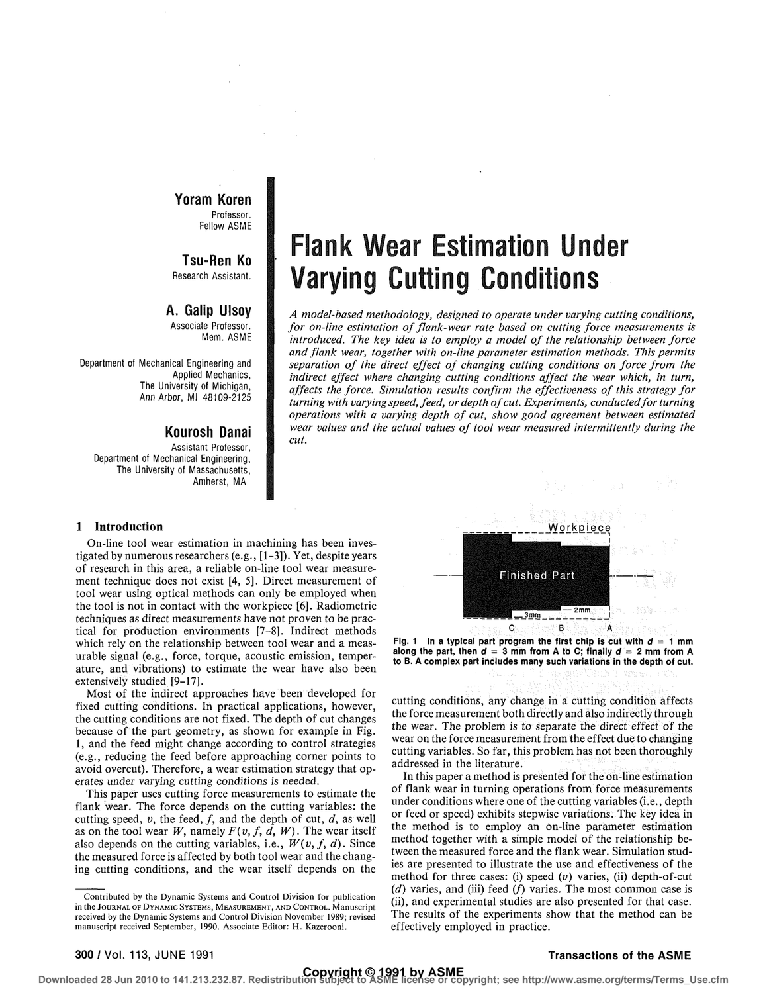Yoram Koren Professor. Fellow ASME

# Tsu-Ren Ko Research Assistant.

# A. Galip Ulsoy

Associate Professor. Mem. ASME

Department of Mechanical Engineering and Applied Mechanics, The University of Michigan, Ann Arbor, Ml 48109-2125

# Kourosh Danai

Assistant Professor, Department of Mechanical Engineering, The University of Massachusetts, Amherst, MA

# **1 Introduction**

On-line tool wear estimation in machining has been investigated by numerous researchers (e.g., [1-3]). Yet, despite years of research in this area, a reliable on-line tool wear measurement technique does not exist [4, 5]. Direct measurement of tool wear using optical methods can only be employed when the tool is not in contact with the workpiece [6]. Radiometric techniques as direct measurements have not proven to be practical for production environments [7-8]. Indirect methods which rely on the relationship between tool wear and a measurable signal (e.g., force, torque, acoustic emission, temperature, and vibrations) to estimate the wear have also been extensively studied [9-17].

Most of the indirect approaches have been developed for fixed cutting conditions. In practical applications, however, the cutting conditions are not fixed. The depth of cut changes because of the part geometry, as shown for example in Fig. 1, and the feed might change according to control strategies (e.g., reducing the feed before approaching corner points to avoid overcut). Therefore, a wear estimation strategy that operates under varying cutting conditions is needed.

This paper uses cutting force measurements to estimate the flank wear. The force depends on the cutting variables: the cutting speed,  $v$ , the feed,  $f$ , and the depth of cut,  $d$ , as well as on the tool wear  $W$ , namely  $F(v, f, d, W)$ . The wear itself also depends on the cutting variables, i.e.,  $W(v, f, d)$ . Since the measured force is affected by both tool wear and the changing cutting conditions, and the wear itself depends on the

# Flank Wear Estimation Under Varying Cutting Conditions

*A model-based methodology, designed to operate under varying cutting conditions, for on-line estimation of flank-wear rate based on cutting force measurements is introduced. The key idea is to employ a model of the relationship between force and flank wear, together with on-line parameter estimation methods. This permits separation of the direct effect of changing cutting conditions on force from the indirect effect where changing cutting conditions affect the wear which, in turn, affects the force. Simulation results confirm the effectiveness of this strategy for turning with varying speed, feed, or depth of cut. Experiments, conducted for turning operations with a varying depth of cut, show good agreement between estimated wear values and the actual values of tool wear measured intermittently during the cut.* 



Fig. 1 In a typical part program the first chip is cut with  $d = 1$  mm along the part, then  $d = 3$  mm from A to C; finally  $d = 2$  mm from A **to B. A complex part includes many such variations in the depth of cut.** 

cutting conditions, any change in a cutting condition affects the force measurement both directly and also indirectly through the wear. The problem is to separate the direct effect of the wear on the force measurement from the effect due to changing cutting variables. So far, this problem has not been thoroughly addressed in the literature.

In this paper a method is presented for the on-line estimation of flank wear in turning operations from force measurements under conditions where one of the cutting variables (i.e., depth or feed or speed) exhibits stepwise variations. The key idea in the method is to employ an on-line parameter estimation method together with a simple model of the relationship between the measured force and the flank wear. Simulation studies are presented to illustrate the use and effectiveness of the method for three cases: (i) speed  $(v)$  varies, (ii) depth-of-cut *(d)* varies, and (iii) feed *(f)* varies. The most common case is (ii), and experimental studies are also presented for that case. The results of the experiments show that the method can be effectively employed in practice.

Contributed by the Dynamic Systems and Control Division for publication in the JOURNAL OF DYNAMIC SYSTEMS, MEASUREMENT, AND CONTROL. Manuscript received by the Dynamic Systems and Control Division November 1989; revised manuscript received September, 1990. Associate Editor: H. Kazerooni.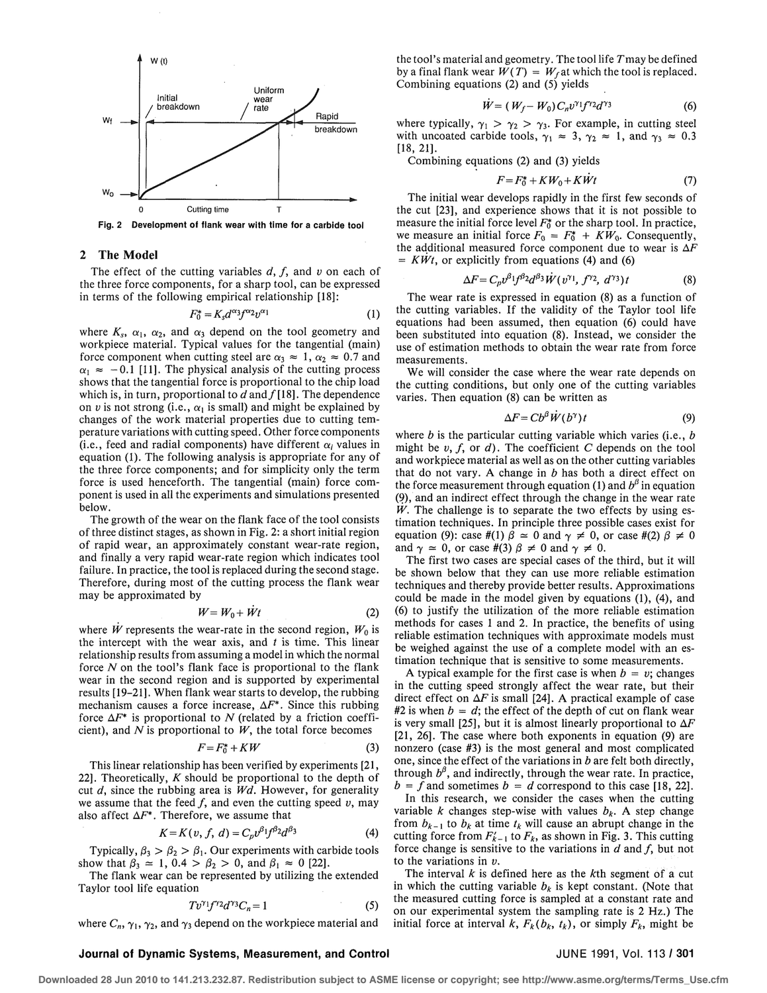

**Fig. 2 Development of flank wear with time for a carbide tool** 

# 2 **The Model**

The effect of the cutting variables *d, f,* and *v* on each of the three force components, for a sharp tool, can be expressed in terms of the following empirical relationship [18]:

$$
F_0^* = K_s d^{\alpha_3} f^{\alpha_2} v^{\alpha_1} \tag{1}
$$

where  $K_s$ ,  $\alpha_1$ ,  $\alpha_2$ , and  $\alpha_3$  depend on the tool geometry and workpiece material. Typical values for the tangential (main) force component when cutting steel are  $\alpha_3 \approx 1$ ,  $\alpha_2 \approx 0.7$  and  $\alpha_1 \approx -0.1$  [11]. The physical analysis of the cutting process shows that the tangential force is proportional to the chip load which is, in turn, proportional to  $d$  and  $f[18]$ . The dependence on v is not strong (i.e.,  $\alpha_1$  is small) and might be explained by changes of the work material properties due to cutting temperature variations with cutting speed. Other force components (i.e., feed and radial components) have different  $\alpha_i$  values in equation (1). The following analysis is appropriate for any of the three force components; and for simplicity only the term force is used henceforth. The tangential (main) force component is used in all the experiments and simulations presented below.

The growth of the wear on the flank face of the tool consists of three distinct stages, as shown in Fig. 2: a short initial region of rapid wear, an approximately constant wear-rate region, and finally a very rapid wear-rate region which indicates tool failure. In practice, the tool is replaced during the second stage. Therefore, during most of the cutting process the flank wear may be approximated by

$$
W = W_0 + \dot{W}t \tag{2}
$$

where *W* represents the wear-rate in the second region,  $W_0$  is the intercept with the wear axis, and *t* is time. This linear relationship results from assuming a model in which the normal force *N* on the tool's flank face is proportional to the flank wear in the second region and is supported by experimental results [19-21]. When flank wear starts to develop, the rubbing mechanism causes a force increase,  $\Delta F^*$ . Since this rubbing force  $\Delta F^*$  is proportional to N (related by a friction coefficient), and *Nis* proportional to *W,* the total force becomes

$$
F = F_0^* + KW \tag{3}
$$

This linear relationship has been verified by experiments [21, 22]. Theoretically, *K* should be proportional to the depth of cut *d,* since the rubbing area is *Wd.* However, for generality we assume that the feed  $f$ , and even the cutting speed  $v$ , may also affect  $\Delta F^*$ . Therefore, we assume that

$$
K = K(v, f, d) = C_p v^{\beta_1} f^{\beta_2} d^{\beta_3}
$$
 (4)

Typically,  $\beta_3 > \beta_2 > \beta_1$ . Our experiments with carbide tools show that  $\beta_3 = 1, 0.4 > \beta_2 > 0$ , and  $\beta_1 \approx 0$  [22].

The flank wear can be represented by utilizing the extended Taylor tool life equation

$$
Tv^{\gamma_1}f^{\gamma_2}d^{\gamma_3}C_n = 1\tag{5}
$$

where  $C_n$ ,  $\gamma_1$ ,  $\gamma_2$ , and  $\gamma_3$  depend on the workpiece material and

the tool's material and geometry. The tool life  $T$  may be defined by a final flank wear  $W(T) = W_f$  at which the tool is replaced. Combining equations  $(2)$  and  $(5)$  yields

$$
W = (W_f - W_0) C_n v^{\gamma_1} f^{\gamma_2} d^{\gamma_3}
$$
 (6)

where typically,  $\gamma_1 > \gamma_2 > \gamma_3$ . For example, in cutting steel with uncoated carbide tools,  $\gamma_1 \approx 3$ ,  $\gamma_2 \approx 1$ , and  $\gamma_3 \approx 0.3$ [18, 21].

Combining equations (2) and (3) yields

$$
F = F_0^* + KW_0 + KWt \tag{7}
$$

The initial wear develops rapidly in the first few seconds of the cut [23], and experience shows that it is not possible to measure the initial force level  $F_0^*$  or the sharp tool. In practice, we measure an initial force  $F_0 = F_0^* + K\tilde{W}_0$ . Consequently, the additional measured force component due to wear is  $\Delta F$  $=$  *KWt*, or explicitly from equations (4) and (6)

$$
\Delta F = C_p v^{\beta_1} f^{\beta_2} d^{\beta_3} W(v^{\gamma_1}, f^{\gamma_2}, d^{\gamma_3}) t \tag{8}
$$

The wear rate is expressed in equation (8) as a function of the cutting variables. If the validity of the Taylor tool life equations had been assumed, then equation (6) could have been substituted into equation (8). Instead, we consider the use of estimation methods to obtain the wear rate from force measurements.

We will consider the case where the wear rate depends on the cutting conditions, but only one of the cutting variables varies. Then equation (8) can be written as

$$
\Delta F = C b^{\beta} \dot{W} (b^{\gamma}) t \tag{9}
$$

where *b* is the particular cutting variable which varies (i.e., *b*  might be  $v, f$ , or  $d$ ). The coefficient C depends on the tool and workpiece material as well as on the other cutting variables that do not vary. A change in *b* has both a direct effect on the force measurement through equation (1) and  $b^{\beta}$  in equation (9), and an indirect effect through the change in the wear rate  $W$ . The challenge is to separate the two effects by using estimation techniques. In principle three possible cases exist for equation (9): case  $#(1)$   $\beta \simeq 0$  and  $\gamma \neq 0$ , or case  $#(2)$   $\beta \neq 0$ and  $\gamma \approx 0$ , or case  $\#(3) \beta \neq 0$  and  $\gamma \neq 0$ .

The first two cases are special cases of the third, but it will be shown below that they can use more reliable estimation techniques and thereby provide better results. Approximations could be made in the model given by equations (1), (4), and (6) to justify the utilization of the more reliable estimation methods for cases 1 and 2. In practice, the benefits of using reliable estimation techniques with approximate models must be weighed against the use of a complete model with an estimation technique that is sensitive to some measurements.

A typical example for the first case is when  $b = v$ ; changes in the cutting speed strongly affect the wear rate, but their direct effect on  $\Delta F$  is small [24]. A practical example of case #2 is when  $b = d$ ; the effect of the depth of cut on flank wear is very small [25], but it is almost linearly proportional to  $\Delta F$ [21, 26]. The case where both exponents in equation (9) are nonzero (case #3) is the most general and most complicated one, since the effect of the variations in *b* are felt both directly, through  $b^{\beta}$ , and indirectly, through the wear rate. In practice,  $b = f$  and sometimes  $b = d$  correspond to this case [18, 22].

In this research, we consider the cases when the cutting variable *k* changes step-wise with values  $b_k$ . A step change from  $b_{k-1}$  to  $b_k$  at time  $t_k$  will cause an abrupt change in the cutting force from  $F'_{k-1}$  to  $F_k$ , as shown in Fig. 3. This cutting force change is sensitive to the variations in  $d$  and  $f$ , but not to the variations in *v.* 

The interval *k* is defined here as the *kth* segment of a cut in which the cutting variable  $b_k$  is kept constant. (Note that the measured cutting force is sampled at a constant rate and on our experimental system the sampling rate is 2 Hz.) The initial force at interval  $k$ ,  $F_k(b_k, t_k)$ , or simply  $F_k$ , might be

# Journal of Dynamic Systems, Measurement, and Control General According Systems and Turkers and Control JUNE 1991, Vol. 113 / 301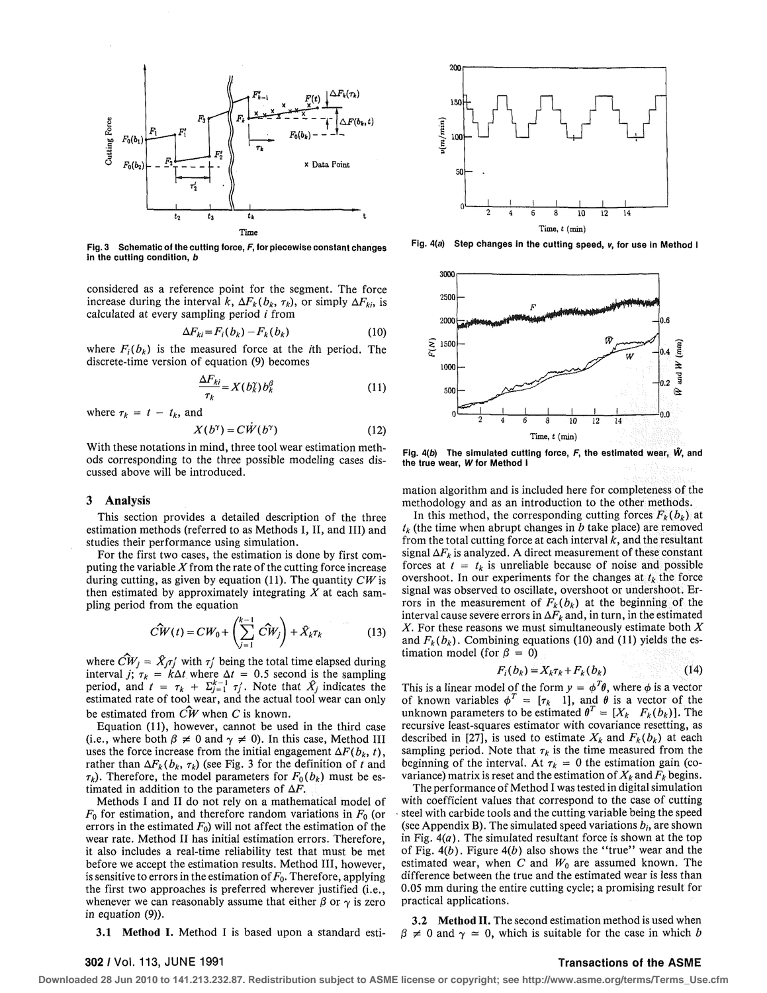

**Fig. 3 Schematic of the cutting force, F, for piecewise constant changes in the cutting condition, h** 

considered as a reference point for the segment. The force increase during the interval  $k$ ,  $\Delta F_k(b_k, \tau_k)$ , or simply  $\Delta F_{ki}$ , is calculated at every sampling period *i* from

$$
\Delta F_{ki} = F_i(b_k) - F_k(b_k) \tag{10}
$$

where  $F_i(b_k)$  is the measured force at the *i*th period. The discrete-time version of equation (9) becomes

$$
\frac{\Delta F_{ki}}{\tau_k} = X(b\tilde{\chi})b_k^{\beta} \tag{11}
$$

where  $\tau_k = t - t_k$ , and

$$
X(b^{\gamma}) = C\dot{W}(b^{\gamma})
$$
 (12)

With these notations in mind, three tool wear estimation methods corresponding to the three possible modeling cases discussed above will be introduced.

# **3 Analysis**

This section provides a detailed description of the three estimation methods (referred to as Methods I, II, and III) and studies their performance using simulation.

For the first two cases, the estimation is done by first computing the variable *X* from the rate of the cutting force increase during cutting, as given by equation (11). The quantity *CWis*  then estimated by approximately integrating *X* at each sampling period from the equation

$$
\hat{CW}(t) = CW_0 + \left(\sum_{j=1}^{k-1} \hat{CW}_j\right) + \hat{X}_k \tau_k \tag{13}
$$

where  $\hat{C}W_j = \hat{X}_j \tau_j'$  with  $\tau_j'$  being the total time elapsed during interval *j*;  $\tau_k = k\Delta t$  where  $\Delta t = 0.5$  second is the sampling period, and  $t = \tau_k + \sum_{j=1}^{k} \tau_j'$ . Note that  $X_j$  indicates the estimated rate of tool wear, and the actual tool wear can only be estimated from *CW* when *C* is known.

Equation (11), however, cannot be used in the third case (i.e., where both  $\beta \neq 0$  and  $\gamma \neq 0$ ). In this case, Method III uses the force increase from the initial engagement  $\Delta F(b_k, t)$ , rather than  $\Delta F_k(b_k, \tau_k)$  (see Fig. 3 for the definition of t and  $\tau_k$ ). Therefore, the model parameters for  $F_0(b_k)$  must be estimated in addition to the parameters of *AF.* 

Methods I and II do not rely on a mathematical model of  $F_0$  for estimation, and therefore random variations in  $F_0$  (or errors in the estimated  $F_0$ *)* will not affect the estimation of the wear rate. Method II has initial estimation errors. Therefore, it also includes a real-time reliability test that must be met before we accept the estimation results. Method III, however, is sensitive to errors in the estimation of  $F_0$ . Therefore, applying the first two approaches is preferred wherever justified (i.e., whenever we can reasonably assume that either  $\beta$  or  $\gamma$  is zero in equation (9)).

**3.1 Method I.** Method I is based upon a standard esti-



**Fig. 4(a) Step changes in the cutting speed, v, for use in Method I** 



Fig. 4(b) The simulated cutting force, F, the estimated wear,  $\hat{W}$ , and **the true wear, IV for Method I** 

mation algorithm and is included here for completeness of the methodology and as an introduction to the other methods.

In this method, the corresponding cutting forces  $F_k(b_k)$  at  $t_k$  (the time when abrupt changes in  $b$  take place) are removed from the total cutting force at each interval  $k$ , and the resultant signal  $\Delta F_k$  is analyzed. A direct measurement of these constant forces at  $t = t_k$  is unreliable because of noise and possible overshoot. In our experiments for the changes at  $t_k$  the force signal was observed to oscillate, overshoot or undershoot. Errors in the measurement of  $F_k(b_k)$  at the beginning of the interval cause severe errors in  $\Delta F_k$  and, in turn, in the estimated *X.* For these reasons we must simultaneously estimate both *X*  and  $F_k(b_k)$ . Combining equations (10) and (11) yields the estimation model (for  $\beta = 0$ )

$$
F_i(b_k) = X_k \tau_k + F_k(b_k) \tag{14}
$$

This is a linear model of the form  $y = \phi^T \theta$ , where  $\phi$  is a vector of known variables  $\phi^T = [\tau_k \ 1]$ , and  $\theta$  is a vector of the unknown parameters to be estimated  $\theta^T = [X_k \quad F_k(b_k)]$ . The recursive least-squares estimator with covariance resetting, as described in [27], is used to estimate  $X_k$  and  $F_k(b_k)$  at each sampling period. Note that  $\tau_k$  is the time measured from the beginning of the interval. At  $\tau_k = 0$  the estimation gain (covariance) matrix is reset and the estimation of  $X_k$  and  $F_k$  begins.

The performance of Method I was tested in digital simulation with coefficient values that correspond to the case of cutting • steel with carbide tools and the cutting variable being the speed (see Appendix B). The simulated speed variations  $b_i$ , are shown in Fig. *4(a).* The simulated resultant force is shown at the top of Fig. *4(b).* Figure *4(b)* also shows the "true" wear and the estimated wear, when *C* and *WQ* are assumed known. The difference between the true and the estimated wear is less than 0.05 mm during the entire cutting cycle; a promising result for practical applications.

**3.2 Method II.** The second estimation method is used when  $\beta \neq 0$  and  $\gamma = 0$ , which is suitable for the case in which *b* 

### 302/Vol. 113, JUNE 1991 Transactions of the AS ME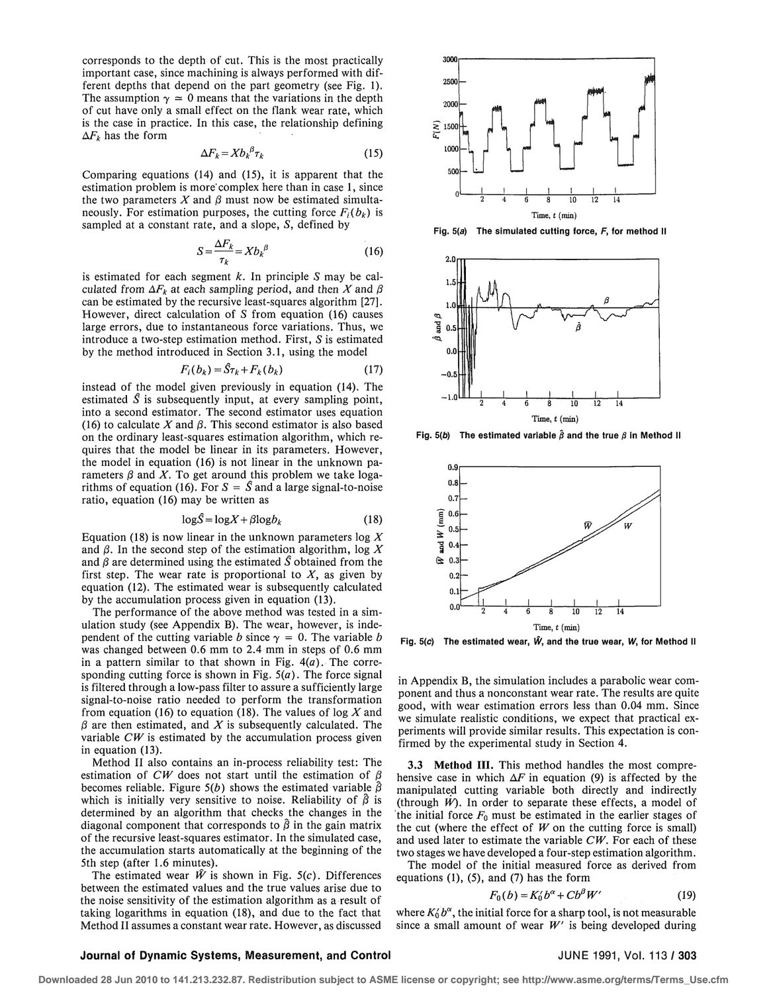corresponds to the depth of cut. This is the most practically important case, since machining is always performed with different depths that depend on the part geometry (see Fig. 1). The assumption  $\gamma \approx 0$  means that the variations in the depth of cut have only a small effect on the flank wear rate, which is the case in practice. In this case, the relationship defining  $\Delta F_k$  has the form

$$
\Delta F_k = X b_k^{\beta} \tau_k \tag{15}
$$

Comparing equations (14) and (15), it is apparent that the estimation problem is more'complex here than in case 1, since the two parameters  $X$  and  $\beta$  must now be estimated simultaneously. For estimation purposes, the cutting force  $F_i(b_k)$  is sampled at a constant rate, and a slope, *S,* defined by

$$
S = \frac{\Delta F_k}{\tau_k} = X b_k^{\beta} \tag{16}
$$

is estimated for each segment  $k$ . In principle  $S$  may be calculated from  $\Delta F_k$  at each sampling period, and then X and  $\beta$ can be estimated by the recursive least-squares algorithm [27]. However, direct calculation of *S* from equation (16) causes large errors, due to instantaneous force variations. Thus, we introduce a two-step estimation method. First, *S* is estimated by the method introduced in Section 3.1, using the model

$$
F_i(b_k) = \hat{S}\tau_k + F_k(b_k) \tag{17}
$$

instead of the model given previously in equation (14). The estimated *§* is subsequently input, at every sampling point, into a second estimator. The second estimator uses equation (16) to calculate X and  $\beta$ . This second estimator is also based on the ordinary least-squares estimation algorithm, which requires that the model be linear in its parameters. However, the model in equation (16) is not linear in the unknown parameters  $\beta$  and X. To get around this problem we take logarithms of equation (16). For  $S = \hat{S}$  and a large signal-to-noise ratio, equation (16) may be written as

$$
\log \hat{S} = \log X + \beta \log b_k \tag{18}
$$

Equation (18) is now linear in the unknown parameters  $\log X$ and  $\beta$ . In the second step of the estimation algorithm, log X and  $\beta$  are determined using the estimated  $\hat{S}$  obtained from the first step. The wear rate is proportional to  $X$ , as given by equation (12). The estimated wear is subsequently calculated by the accumulation process given in equation (13).

The performance of the above method was tested in a simulation study (see Appendix B). The wear, however, is independent of the cutting variable *b* since  $\gamma = 0$ . The variable *b* was changed between 0.6 mm to 2.4 mm in steps of 0.6 mm in a pattern similar to that shown in Fig. *4(a).* The corresponding cutting force is shown in Fig.  $5(a)$ . The force signal is filtered through a low-pass filter to assure a sufficiently large signal-to-noise ratio needed to perform the transformation from equation (16) to equation (18). The values of log *X* and  $\beta$  are then estimated, and X is subsequently calculated. The variable *CW* is estimated by the accumulation process given in equation (13).

Method II also contains an in-process reliability test: The estimation of  $CW$  does not start until the estimation of  $\beta$ becomes reliable. Figure  $5(b)$  shows the estimated variable  $\hat{\beta}$ which is initially very sensitive to noise. Reliability of  $\hat{\beta}$  is determined by an algorithm that checks the changes in the diagonal component that corresponds to  $\hat{\beta}$  in the gain matrix of the recursive least-squares estimator. In the simulated case, the accumulation starts automatically at the beginning of the 5th step (after 1.6 minutes).

The estimated wear  $\hat{W}$  is shown in Fig. 5(c). Differences between the estimated values and the true values arise due to the noise sensitivity of the estimation algorithm as a result of taking logarithms in equation (18), and due to the fact that Method II assumes a constant wear rate. However, as discussed



**Fig. 5(a) The simulated cutting force, F, for method II** 



Fig. 5(b) The estimated variable  $\hat{\beta}$  and the true  $\beta$  in Method II



**Fig. 5(c)** The estimated wear,  $\hat{W}$ , and the true wear,  $W$ , for Method II

in Appendix B, the simulation includes a parabolic wear component and thus a nonconstant wear rate. The results are quite good, with wear estimation errors less than 0.04 mm. Since we simulate realistic conditions, we expect that practical experiments will provide similar results. This expectation is confirmed by the experimental study in Section 4.

3.3 Method III. This method handles the most comprehensive case in which  $\Delta F$  in equation (9) is affected by the manipulated cutting variable both directly and indirectly (through  $W$ ). In order to separate these effects, a model of the initial force  $F_0$  must be estimated in the earlier stages of the cut (where the effect of  $W$  on the cutting force is small) and used later to estimate the variable *CW.* For each of these two stages we have developed a four-step estimation algorithm.

The model of the initial measured force as derived from equations  $(1)$ ,  $(5)$ , and  $(7)$  has the form

$$
F_0(b) = K'_0 b^\alpha + C b^\beta W'
$$
 (19)

where  $K_0'b^\alpha$ , the initial force for a sharp tool, is not measurable since a small amount of wear  $W'$  is being developed during

### **Journal of Dynamic Systems, Measurement, and Control** *JUNE 1991***, Vol. 113 / 303**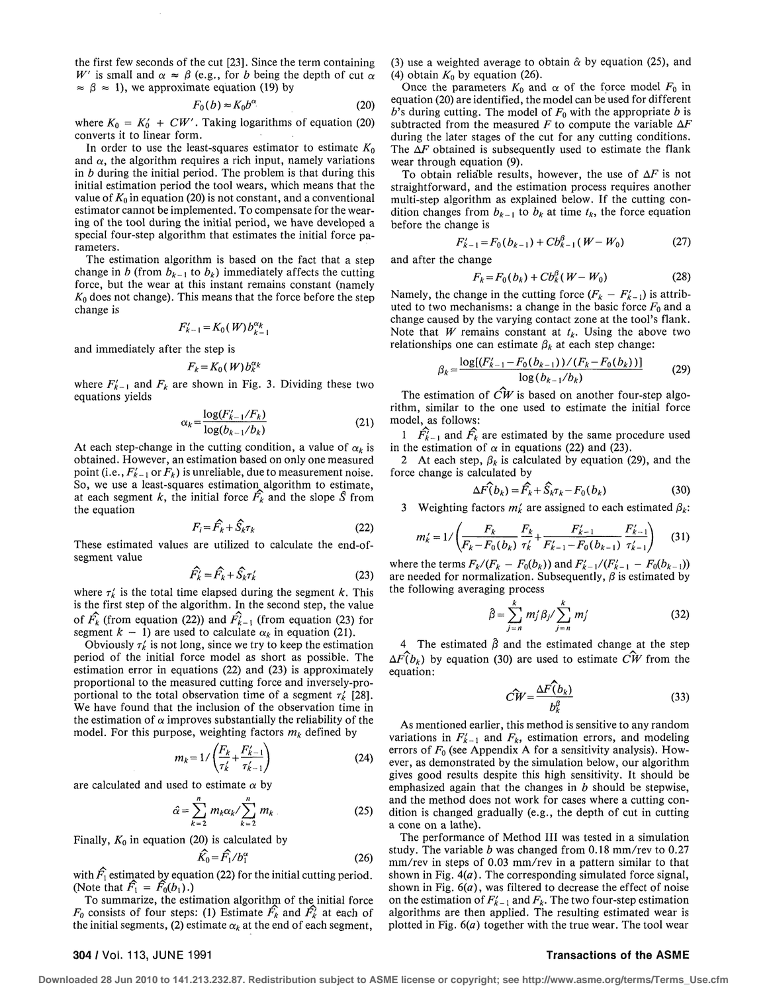the first few seconds of the cut [23]. Since the term containing *W* is small and  $\alpha \approx \beta$  (e.g., for *b* being the depth of cut  $\alpha$  $\approx \beta \approx 1$ ), we approximate equation (19) by

$$
F_0(b) \approx K_0 b^{\alpha} \tag{20}
$$

where  $K_0 = K'_0 + CW'$ . Taking logarithms of equation (20) converts it to linear form.

In order to use the least-squares estimator to estimate  $K_0$ and  $\alpha$ , the algorithm requires a rich input, namely variations in *b* during the initial period. The problem is that during this initial estimation period the tool wears, which means that the value of  $K_0$  in equation (20) is not constant, and a conventional estimator cannot be implemented. To compensate for the wearing of the tool during the initial period, we have developed a special four-step algorithm that estimates the initial force parameters.

The estimation algorithm is based on the fact that a step change in *b* (from  $b_{k-1}$  to  $b_k$ ) immediately affects the cutting force, but the wear at this instant remains constant (namely  $K_0$  does not change). This means that the force before the step change is

$$
F'_{k-1} = K_0(W) b^{\alpha_k}
$$

and immediately after the step is

$$
F_k = K_0(W) b_k^{\alpha_k}
$$

where  $F'_{k-1}$  and  $F_k$  are shown in Fig. 3. Dividing these two equations yields

$$
\alpha_k = \frac{\log(F_{k-1}/F_k)}{\log(b_{k-1}/b_k)}
$$
(21)

At each step-change in the cutting condition, a value of  $\alpha_k$  is obtained. However, an estimation based on only one measured point (i.e.,  $F'_{k-1}$  or  $F_k$ ) is unreliable, due to measurement noise. So, we use a least-squares estimation algorithm to estimate, at each segment *k,* the initial force *Fk* and the slope *S* from the equation

$$
F_i = \widehat{F}_k + \widehat{S}_k \tau_k \tag{22}
$$

These estimated values are utilized to calculate the end-ofsegment value

$$
\widehat{F}'_k = \widehat{F}_k + \widehat{S}_k \tau'_k \tag{23}
$$

where  $\tau_k$  is the total time elapsed during the segment k. This is the first step of the algorithm. In the second step, the value of  $\hat{F_k}$  (from equation (22)) and  $\hat{F_{k-1}}$  (from equation (23) for segment  $k - 1$ ) are used to calculate  $\alpha_k$  in equation (21).

Obviously  $\tau_k$  is not long, since we try to keep the estimation period of the initial force model as short as possible. The estimation error in equations (22) and (23) is approximately proportional to the measured cutting force and inversely-proportional to the total observation time of a segment  $\tau_k$  [28]. We have found that the inclusion of the observation time in the estimation of  $\alpha$  improves substantially the reliability of the model. For this purpose, weighting factors  $m_k$  defined by

$$
m_k = 1 / \left( \frac{F_k}{\tau_k'} + \frac{F_{k-1}'}{\tau_{k-1}'} \right) \tag{24}
$$

are calculated and used to estimate  $\alpha$  by

$$
\hat{\alpha} = \sum_{k=2}^{n} m_k \alpha_k / \sum_{k=2}^{n} m_k \tag{25}
$$

Finally,  $K_0$  in equation (20) is calculated by

$$
\hat{K}_0 = \hat{F}_1/b_1^{\alpha} \tag{26}
$$

with  $F_1$  estimated by equation (22) for the initial cutting period. (Note that  $F_1 = F_0(b_1)$ .)

To summarize, the estimation algorithm of the initial force  $F_0$  consists of four steps: (1) Estimate  $\hat{F}_k$  and  $\hat{F}_k$  at each of the initial segments, (2) estimate  $\alpha_k$  at the end of each segment,

(3) use a weighted average to obtain  $\hat{\alpha}$  by equation (25), and (4) obtain  $K_0$  by equation (26).

Once the parameters  $K_0$  and  $\alpha$  of the force model  $F_0$  in equation (20) are identified, the model can be used for different *b's* during cutting. The model of *F0* with the appropriate *b* is subtracted from the measured  $F$  to compute the variable  $\Delta F$ during the later stages of the cut for any cutting conditions. The  $\Delta F$  obtained is subsequently used to estimate the flank wear through equation (9).

To obtain reliable results, however, the use of  $\Delta F$  is not straightforward, and the estimation process requires another multi-step algorithm as explained below. If the cutting condition changes from  $b_{k-1}$  to  $b_k$  at time  $t_k$ , the force equation before the change is

$$
F'_{k-1} = F_0(b_{k-1}) + Cb_{k-1}^{\beta}(W - W_0)
$$
 (27)

and after the change

$$
F_k = F_0(b_k) + Cb_k^{\beta}(W - W_0)
$$
 (28)

Namely, the change in the cutting force  $(F_k - F'_{k-1})$  is attributed to two mechanisms: a change in the basic force  $F_0$  and a change caused by the varying contact zone at the tool's flank. Note that *W* remains constant at  $t_k$ . Using the above two relationships one can estimate  $\beta_k$  at each step change:

$$
\beta_k = \frac{\log[(F_{k-1}' - F_0(b_{k-1}))/(F_k - F_0(b_k))]}{\log(b_{k-1}/b_k)}\tag{29}
$$

The estimation of  $\hat{CW}$  is based on another four-step algorithm, similar to the one used to estimate the initial force model, as follows:

1  $\hat{F}_{k-1}$  and  $\hat{F}_k$  are estimated by the same procedure used in the estimation of  $\alpha$  in equations (22) and (23).

2 At each step,  $\beta_k$  is calculated by equation (29), and the force change is calculated by

$$
\Delta F(\hat{b}_k) = \hat{F}_k + \hat{S}_k \tau_k - F_0(b_k) \tag{30}
$$

3 Weighting factors  $m'_k$  are assigned to each estimated  $\beta_k$ :

$$
m'_{k} = 1/\left(\frac{F_{k}}{F_{k} - F_{0}(b_{k})}\frac{F_{k}}{\tau'_{k}} + \frac{F'_{k-1}}{F'_{k-1} - F_{0}(b_{k-1})}\frac{F'_{k-1}}{\tau'_{k-1}}\right) \quad (31)
$$

where the terms  $F_k/(F_k - F_0(b_k))$  and  $F'_{k-1}/(F'_{k-1} - F_0(b_{k-1}))$ are needed for normalization. Subsequently,  $\beta$  is estimated by the following averaging process

$$
\hat{\beta} = \sum_{j=n}^{k} m'_j \beta_j / \sum_{j=n}^{k} m'_j \tag{32}
$$

4 The estimated  $\hat{\beta}$  and the estimated change at the step  $\Delta F(b_k)$  by equation (30) are used to estimate  $\hat{CW}$  from the equation:

$$
\widehat{CW} = \frac{\Delta F(\widehat{b}_k)}{b_k^{\beta}} \tag{33}
$$

As mentioned earlier, this method is sensitive to any random variations in  $F'_{k-1}$  and  $F_k$ , estimation errors, and modeling errors of  $F_0$  (see Appendix A for a sensitivity analysis). However, as demonstrated by the simulation below, our algorithm gives good results despite this high sensitivity. It should be emphasized again that the changes in *b* should be stepwise, and the method does not work for cases where a cutting condition is changed gradually (e.g., the depth of cut in cutting a cone on a lathe).

The performance of Method III was tested in a simulation study. The variable *b* was changed from 0.18 mm/rev to 0.27 mm/rev in steps of 0.03 mm/rev in a pattern similar to that shown in Fig.  $4(a)$ . The corresponding simulated force signal, shown in Fig.  $6(a)$ , was filtered to decrease the effect of noise on the estimation of  $F'_{k-1}$  and  $F_k$ . The two four-step estimation algorithms are then applied. The resulting estimated wear is plotted in Fig.  $6(a)$  together with the true wear. The tool wear

### 304/Vol. 113, JUNE 1991 Transactions of the ASME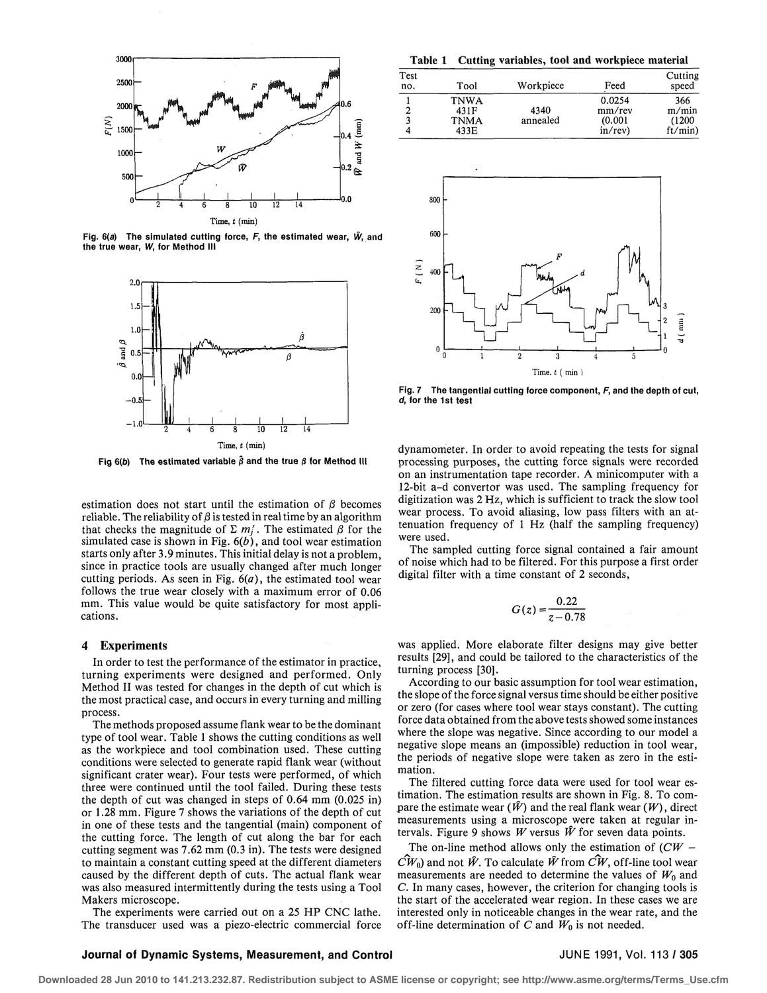

**Fig. 6(a)** The simulated cutting force,  $F$ , the estimated wear,  $\hat{W}$ , and **the true wear, IV, for Method III** 



**Fig 6(b)** The estimated variable  $\hat{\beta}$  and the true  $\beta$  for Method III

estimation does not start until the estimation of  $\beta$  becomes reliable. The reliability of  $\beta$  is tested in real time by an algorithm that checks the magnitude of  $\Sigma$  m'. The estimated  $\beta$  for the simulated case is shown in Fig. *6(b),* and tool wear estimation starts only after 3.9 minutes. This initial delay is not a problem, since in practice tools are usually changed after much longer cutting periods. As seen in Fig. *6(a),* the estimated tool wear follows the true wear closely with a maximum error of 0.06 mm. This value would be quite satisfactory for most applications.

### **4 Experiments**

In order to test the performance of the estimator in practice, turning experiments were designed and performed. Only Method II was tested for changes in the depth of cut which is the most practical case, and occurs in every turning and milling process.

The methods proposed assume flank wear to be the dominant type of tool wear. Table 1 shows the cutting conditions as well as the workpiece and tool combination used. These cutting conditions were selected to generate rapid flank wear (without significant crater wear). Four tests were performed, of which three were continued until the tool failed. During these tests the depth of cut was changed in steps of 0.64 mm (0.025 in) or 1.28 mm. Figure 7 shows the variations of the depth of cut in one of these tests and the tangential (main) component of the cutting force. The length of cut along the bar for each cutting segment was 7.62 mm (0.3 in). The tests were designed to maintain a constant cutting speed at the different diameters caused by the different depth of cuts. The actual flank wear was also measured intermittently during the tests using a Tool Makers microscope.

The experiments were carried out on a 25 HP CNC lathe. The transducer used was a piezo-electric commercial force

**Table 1 Cutting variables, tool and workpiece material** 

| Test<br>no. | Tool                                | Workpiece        | Feed                                         | Cutting<br>speed                  |
|-------------|-------------------------------------|------------------|----------------------------------------------|-----------------------------------|
|             | <b>TNWA</b><br>431F<br>TNMA<br>433E | 4340<br>annealed | 0.0254<br>mm/rev<br>(0.001)<br>$in$ /rev $)$ | 366<br>m/min<br>(1200)<br>ft/min) |



**Fig. 7 The tangential cutting force component, F, and the depth of cut, d, for the 1st test** 

dynamometer. In order to avoid repeating the tests for signal processing purposes, the cutting force signals were recorded on an instrumentation tape recorder. A minicomputer with a 12-bit a-d convertor was used. The sampling frequency for digitization was 2 Hz, which is sufficient to track the slow tool wear process. To avoid aliasing, low pass filters with an attenuation frequency of 1 Hz (half the sampling frequency) were used.

The sampled cutting force signal contained a fair amount of noise which had to be filtered. For this purpose a first order digital filter with a time constant of 2 seconds,

$$
G(z) = \frac{0.22}{z - 0.78}
$$

was applied. More elaborate filter designs may give better results [29], and could be tailored to the characteristics of the turning process [30].

According to our basic assumption for tool wear estimation, the slope of the force signal versus time should be either positive or zero (for cases where tool wear stays constant). The cutting force data obtained from the above tests showed some instances where the slope was negative. Since according to our model a negative slope means an (impossible) reduction in tool wear, the periods of negative slope were taken as zero in the estimation.

The filtered cutting force data were used for tool wear estimation. The estimation results are shown in Fig. 8. To compare the estimate wear  $(\hat{W})$  and the real flank wear  $(W)$ , direct measurements using a microscope were taken at regular intervals. Figure 9 shows W versus  $\hat{W}$  for seven data points.

The on-line method allows only the estimation of *(CW -*  $\hat{CW}_0$  and not  $\hat{W}$ . To calculate  $\hat{W}$  from  $\hat{CW}$ , off-line tool wear measurements are needed to determine the values of  $W_0$  and C. In many cases, however, the criterion for changing tools is the start of the accelerated wear region. In these cases we are interested only in noticeable changes in the wear rate, and the off-line determination of *C* and *W0* is not needed.

# **Journal of Dynamic Systems, Measurement, and Control** *JUNE 1991, Vol. 113 / 305*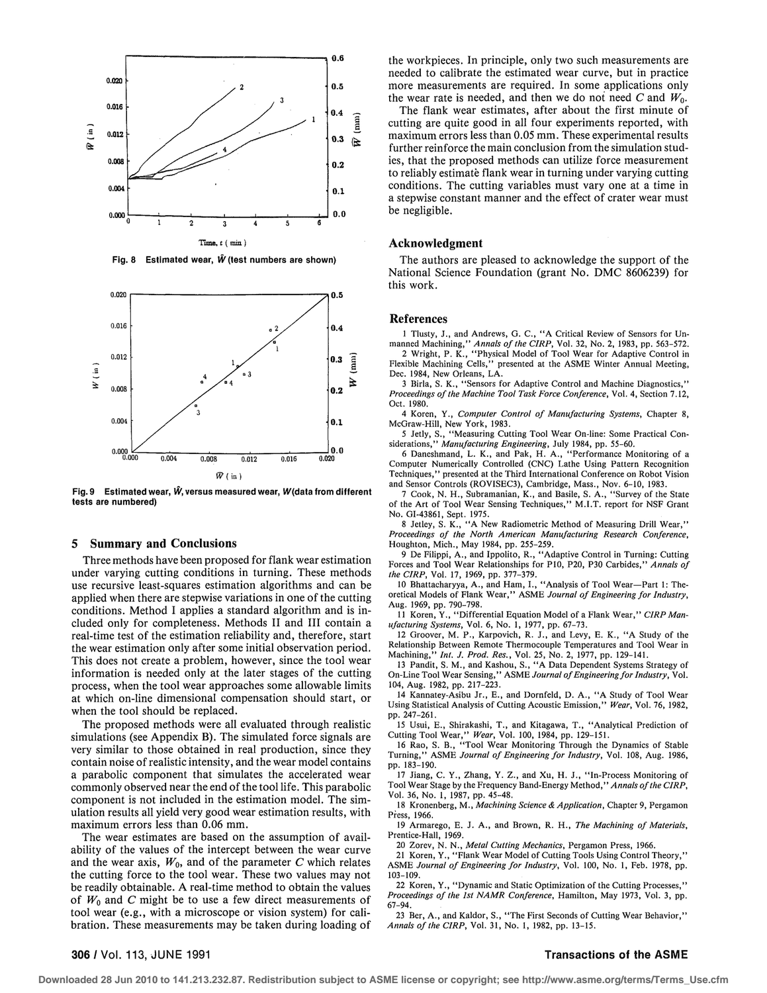

Fig. 8 Estimated wear,  $\hat{W}$  (test numbers are shown)



Fig. 9 Estimated wear,  $\hat{W}$ , versus measured wear, W(data from different **tests are numbered)** 

# **5 Summary and Conclusions**

Three methods have been proposed for flank wear estimation under varying cutting conditions in turning. These methods use recursive least-squares estimation algorithms and can be applied when there are stepwise variations in one of the cutting conditions. Method I applies a standard algorithm and is included only for completeness. Methods II and III contain a real-time test of the estimation reliability and, therefore, start the wear estimation only after some initial observation period. This does not create a problem, however, since the tool wear information is needed only at the later stages of the cutting process, when the tool wear approaches some allowable limits at which on-line dimensional compensation should start, or when the tool should be replaced.

The proposed methods were all evaluated through realistic simulations (see Appendix B). The simulated force signals are very similar to those obtained in real production, since they contain noise of realistic intensity, and the wear model contains a parabolic component that simulates the accelerated wear commonly observed near the end of the tool life. This parabolic component is not included in the estimation model. The simulation results all yield very good wear estimation results, with maximum errors less than 0.06 mm.

The wear estimates are based on the assumption of availability of the values of the intercept between the wear curve and the wear axis,  $W_0$ , and of the parameter  $C$  which relates the cutting force to the tool wear. These two values may not be readily obtainable. A real-time method to obtain the values of *W0* and *C* might be to use a few direct measurements of tool wear (e.g., with a microscope or vision system) for calibration. These measurements may be taken during loading of the workpieces. In principle, only two such measurements are needed to calibrate the estimated wear curve, but in practice more measurements are required. In some applications only the wear rate is needed, and then we do not need C and  $W_0$ .

The flank wear estimates, after about the first minute of cutting are quite good in all four experiments reported, with maximum errors less than 0.05 mm. These experimental results further reinforce the main conclusion from the simulation studies, that the proposed methods can utilize force measurement to reliably estimate flank wear in turning under varying cutting conditions. The cutting variables must vary one at a time in a stepwise constant manner and the effect of crater wear must be negligible.

### **Acknowledgment**

The authors are pleased to acknowledge the support of the National Science Foundation (grant No. DMC 8606239) for this work.

### **References**

1 Tlusty, J., and Andrews, G. C., "A Critical Review of Sensors for Unmanned Machining," *Annals of the CIRP,* Vol. 32, No. 2, 1983, pp. 563-572. 2 Wright, P. K., "Physical Model of Tool Wear for Adaptive Control in Flexible Machining Cells," presented at the ASME Winter Annual Meeting,

Dec. 1984, New Orleans, LA. 3 Birla, S. K., "Sensors for Adaptive Control and Machine Diagnostics,"

*Proceedings of the Machine Tool Task Force Conference,* Vol. 4, Section 7.12, Oct. 1980. 4 Koren, Y., *Computer Control of Manufacturing Systems,* Chapter 8,

McGraw-Hill, New York, 1983.

5 Jetly, S., "Measuring Cutting Tool Wear On-line: Some Practical Considerations," *Manufacturing Engineering,* July 1984, pp. 55-60.

6 Daneshmand, L. K., and Pak, H. A., "Performance Monitoring of a Computer Numerically Controlled (CNC) Lathe Using Pattern Recognition Techniques," presented at the Third International Conference on Robot Vision and Sensor Controls (ROVISEC3), Cambridge, Mass., Nov. 6-10, 1983.

7 Cook, N. H., Subramanian, K., and Basile, S. A., "Survey of the State of the Art of Tool Wear Sensing Techniques," M.I.T. report for NSF Grant No. GI-43861, Sept. 1975.

8 Jetley, S. K., "A New Radiometric Method of Measuring Drill Wear," *Proceedings of the North American Manufacturing Research Conference,*  Houghton, Mich., May 1984, pp. 255-259.

9 De Filippi, A., and Ippolito, R., "Adaptive Control in Turning: Cutting Forces and Tool Wear Relationships for P10, P20, P30 Carbides," *Annals of the CIRP,* Vol. 17, 1969, pp. 377-379.

10 Bhattacharyya, A., and Ham, I., "Analysis of Tool Wear—Part 1: Theoretical Models of Flank Wear," ASME *Journal of Engineering for Industry,*  Aug. 1969, pp. 790-798.

11 Koren, Y., "Differential Equation Model of a Flank Wear," *CIRP Manufacturing Systems,* Vol. 6, No. 1, 1977, pp. 67-73.

12 Groover, M. P., Karpovich, R. J., and Levy, E. K., "A Study of the Relationship Between Remote Thermocouple Temperatures and Tool Wear in Machining," *Int. J. Prod. Res.,* Vol. 25, No. 2, 1977, pp. 129-141.

13 Pandit, S. M., and Kashou, S., "A Data Dependent Systems Strategy of On-Line Tool Wear Sensing," ASME *Journal of Engineering for Industry,* Vol. 104, Aug. 1982, pp. 217-223.

14 Kannatey-Asibu Jr., E., and Dornfeld, D. A., "A Study of Tool Wear Using Statistical Analysis of Cutting Acoustic Emission," *Wear,* Vol. 76, 1982, pp. 247-261.

15 Usui, E., Shirakashi, T., and Kitagawa, T., "Analytical Prediction of

Cutting Tool Wear," *Wear,* Vol. 100, 1984, pp. 129-151. 16 Rao, S. B., "Tool Wear Monitoring Through the Dynamics of Stable Turning," ASME *Journal of Engineering for Industry,* Vol. 108, Aug. 1986, pp. 183-190.

17 Jiang, C. Y., Zhang, Y. Z., and Xu, H. J., "In-Process Monitoring of Tool Wear Stage by the Frequency Band-Energy Method," *Annals of the CIRP,*  Vol. 36, No. 1, 1987, pp. 45-48.

18 Kronenberg, M., *Machining Science & Application,* Chapter 9, Pergamon Press, 1966.

19 Armarego, E. J. A., and Brown, R. H., *The Machining of Materials,*  Prentice-Hall, 1969.

20 Zorev, N. N., *Metal Cutting Mechanics,* Pergamon Press, 1966.

21 Koren, Y., "Flank Wear Model of Cutting Tools Using Control Theory," ASME *Journal of Engineering for Industry,* Vol. 100, No. 1, Feb. 1978, pp. 103-109.

22 Koren, Y., "Dynamic and Static Optimization of the Cutting Processes," *Proceedings of the 1st NAMR Conference,* Hamilton, May 1973, Vol. 3, pp. 67-94.

23 Ber, A., and Kaldor, S., "The First Seconds of Cutting Wear Behavior," *Annals of the CIRP,* Vol. 31, No. 1, 1982, pp. 13-15.

# 306/Vol. 113, JUNE 1991 Transactions of the ASME